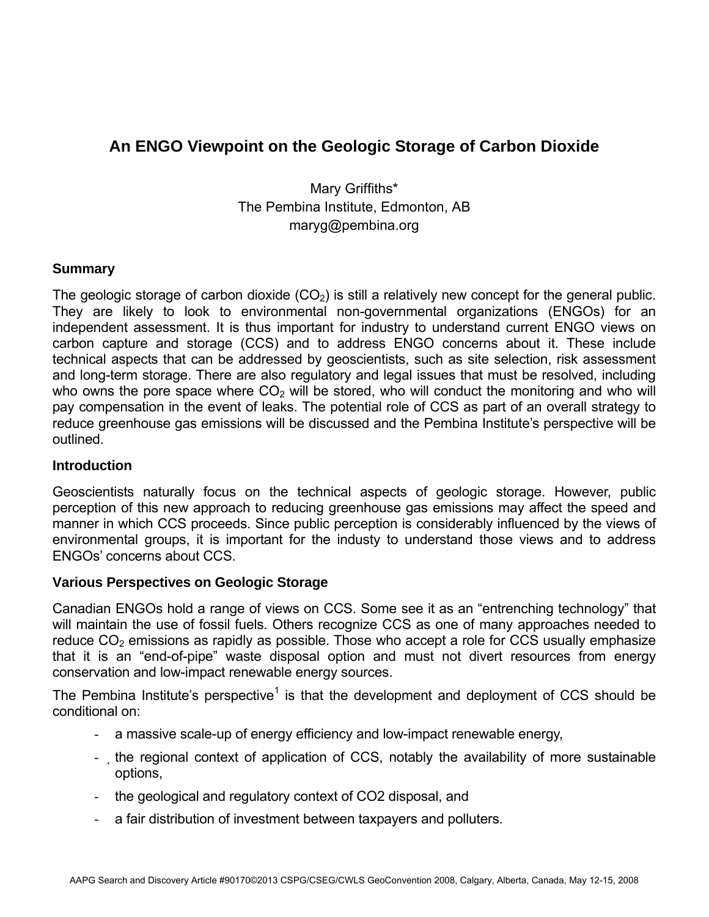# **An ENGO Viewpoint on the Geologic Storage of Carbon Dioxide**

Mary Griffiths\* The Pembina Institute, Edmonton, AB maryg@pembina.org

# **Summary**

The geologic storage of carbon dioxide  $(CO<sub>2</sub>)$  is still a relatively new concept for the general public. They are likely to look to environmental non-governmental organizations (ENGOs) for an independent assessment. It is thus important for industry to understand current ENGO views on carbon capture and storage (CCS) and to address ENGO concerns about it. These include technical aspects that can be addressed by geoscientists, such as site selection, risk assessment and long-term storage. There are also regulatory and legal issues that must be resolved, including who owns the pore space where  $CO<sub>2</sub>$  will be stored, who will conduct the monitoring and who will pay compensation in the event of leaks. The potential role of CCS as part of an overall strategy to reduce greenhouse gas emissions will be discussed and the Pembina Institute's perspective will be outlined.

### **Introduction**

Geoscientists naturally focus on the technical aspects of geologic storage. However, public perception of this new approach to reducing greenhouse gas emissions may affect the speed and manner in which CCS proceeds. Since public perception is considerably influenced by the views of environmental groups, it is important for the industy to understand those views and to address ENGOs' concerns about CCS.

#### **Various Perspectives on Geologic Storage**

Canadian ENGOs hold a range of views on CCS. Some see it as an "entrenching technology" that will maintain the use of fossil fuels. Others recognize CCS as one of many approaches needed to reduce  $CO<sub>2</sub>$  emissions as rapidly as possible. Those who accept a role for CCS usually emphasize that it is an "end-of-pipe" waste disposal option and must not divert resources from energy conservation and low-impact renewable energy sources.

The Pembina Institute's perspective<sup>1</sup> is that the development and deployment of CCS should be conditional on:

- a massive scale-up of energy efficiency and low-impact renewable energy,
- the regional context of application of CCS, notably the availability of more sustainable options,
- the geological and regulatory context of CO2 disposal, and
- a fair distribution of investment between taxpayers and polluters.